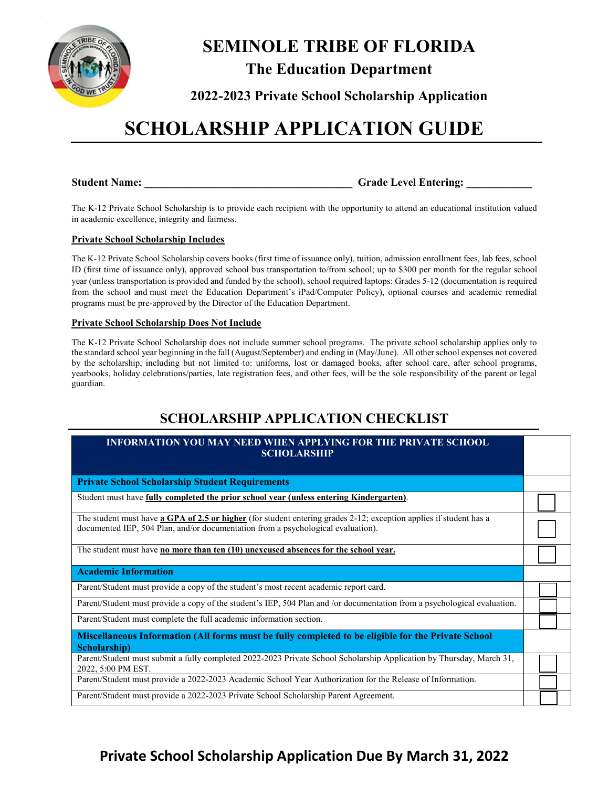

## **SEMINOLE TRIBE OF FLORIDA The Education Department**

**2022-2023 Private School Scholarship Application**

## **SCHOLARSHIP APPLICATION GUIDE**

**Student Name: Calcular Student Name: Grade Level Entering: Calcular 2018** 

The K-12 Private School Scholarship is to provide each recipient with the opportunity to attend an educational institution valued in academic excellence, integrity and fairness.

#### **Private School Scholarship Includes**

The K-12 Private School Scholarship covers books (first time of issuance only), tuition, admission enrollment fees, lab fees, school ID (first time of issuance only), approved school bus transportation to/from school; up to \$300 per month for the regular school year (unless transportation is provided and funded by the school), school required laptops: Grades 5-12 (documentation is required from the school and must meet the Education Department's iPad/Computer Policy), optional courses and academic remedial programs must be pre-approved by the Director of the Education Department.

#### **Private School Scholarship Does Not Include**

The K-12 Private School Scholarship does not include summer school programs. The private school scholarship applies only to the standard school year beginning in the fall (August/September) and ending in (May/June). All other school expenses not covered by the scholarship, including but not limited to: uniforms, lost or damaged books, after school care, after school programs, yearbooks, holiday celebrations/parties, late registration fees, and other fees, will be the sole responsibility of the parent or legal guardian.

### **SCHOLARSHIP APPLICATION CHECKLIST**

### **INFORMATION YOU MAY NEED WHEN APPLYING FOR THE PRIVATE SCHOOL SCHOLARSHIP Private School Scholarship Student Requirements**  Student must have **fully completed the prior school year (unless entering Kindergarten)**. The student must have **a GPA of 2.5 or higher** (for student entering grades 2-12; exception applies if student has a documented IEP, 504 Plan, and/or documentation from a psychological evaluation).

The student must have **no more than ten (10) unexcused absences for the school year.**

#### **Academic Information**

Parent/Student must provide a copy of the student's most recent academic report card.

Parent/Student must provide a copy of the student's IEP, 504 Plan and /or documentation from a psychological evaluation.

Parent/Student must complete the full academic information section.

**Miscellaneous Information (All forms must be fully completed to be eligible for the Private School Scholarship)**

Parent/Student must submit a fully completed 2022-2023 Private School Scholarship Application by Thursday, March 31, 2022, 5:00 PM EST.

Parent/Student must provide a 2022-2023 Academic School Year Authorization for the Release of Information.

Parent/Student must provide a 2022-2023 Private School Scholarship Parent Agreement.

## **Private School Scholarship Application Due By March 31, 2022**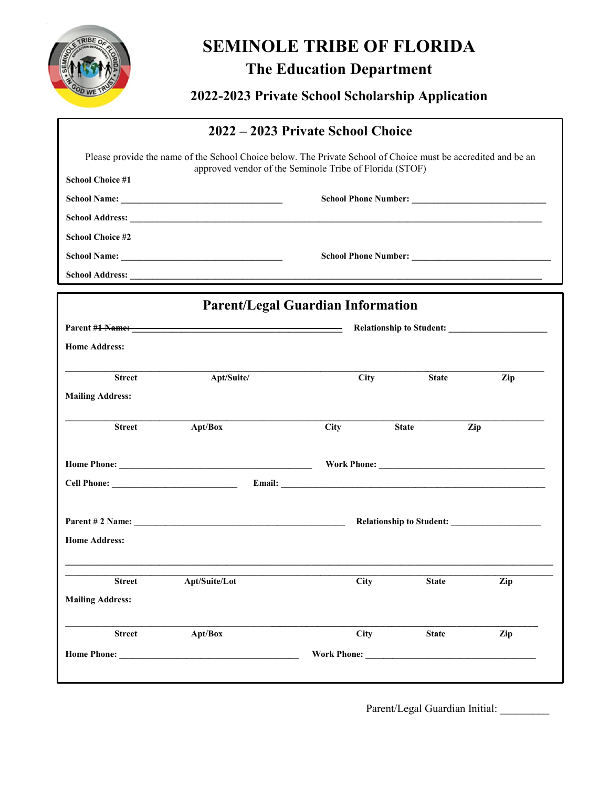

# **SEMINOLE TRIBE OF FLORIDA**

**The Education Department**

**2022-2023 Private School Scholarship Application**

|                         |                                                                                                               | 2022 – 2023 Private School Choice        |              |     |
|-------------------------|---------------------------------------------------------------------------------------------------------------|------------------------------------------|--------------|-----|
|                         | Please provide the name of the School Choice below. The Private School of Choice must be accredited and be an |                                          |              |     |
| <b>School Choice #1</b> | approved vendor of the Seminole Tribe of Florida (STOF)                                                       |                                          |              |     |
|                         |                                                                                                               |                                          |              |     |
|                         |                                                                                                               |                                          |              |     |
| <b>School Choice #2</b> |                                                                                                               |                                          |              |     |
|                         |                                                                                                               |                                          |              |     |
|                         |                                                                                                               |                                          |              |     |
|                         |                                                                                                               | <b>Parent/Legal Guardian Information</b> |              |     |
|                         |                                                                                                               |                                          |              |     |
| <b>Home Address:</b>    |                                                                                                               |                                          |              |     |
|                         |                                                                                                               |                                          |              |     |
| <b>Street</b>           | Apt/Suite/                                                                                                    | <b>City</b>                              | <b>State</b> | Zip |
| <b>Mailing Address:</b> |                                                                                                               |                                          |              |     |
| <b>Street</b>           | Apt/Box                                                                                                       | <b>City</b>                              | <b>State</b> | Zip |
|                         |                                                                                                               |                                          |              |     |
|                         |                                                                                                               |                                          |              |     |
|                         | Parent # 2 Name:                                                                                              |                                          |              |     |
| <b>Home Address:</b>    |                                                                                                               |                                          |              |     |
| <b>Street</b>           | Apt/Suite/Lot                                                                                                 | <b>City</b>                              | <b>State</b> | Zip |
| <b>Mailing Address:</b> |                                                                                                               |                                          |              |     |
| <b>Street</b>           | Apt/Box                                                                                                       | <b>City</b>                              | <b>State</b> | Zip |
| Home Phone:             |                                                                                                               | <b>Work Phone:</b>                       |              |     |
|                         |                                                                                                               |                                          |              |     |

Parent/Legal Guardian Initial: \_\_\_\_\_\_\_\_\_\_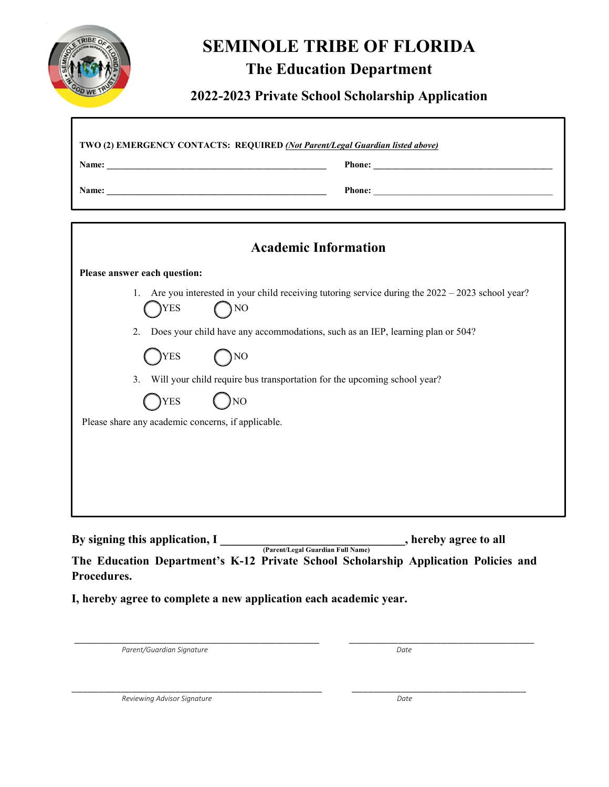

## **SEMINOLE TRIBE OF FLORIDA**

## **The Education Department**

### **2022-2023 Private School Scholarship Application**

1

|                                                    | <b>Academic Information</b>                                                                             |
|----------------------------------------------------|---------------------------------------------------------------------------------------------------------|
| Please answer each question:                       |                                                                                                         |
| 1.<br><b>YES</b>                                   | Are you interested in your child receiving tutoring service during the $2022 - 2023$ school year?<br>NO |
| 2.                                                 | Does your child have any accommodations, such as an IEP, learning plan or 504?                          |
| YES)                                               | $\sum_{i=1}^{n}$                                                                                        |
| 3.                                                 | Will your child require bus transportation for the upcoming school year?                                |
| YES)                                               | <b>NO</b>                                                                                               |
| Please share any academic concerns, if applicable. |                                                                                                         |
|                                                    |                                                                                                         |
|                                                    |                                                                                                         |
|                                                    |                                                                                                         |
|                                                    |                                                                                                         |

**By signing this application, I** (Parent/Legal Guardian Full Name) , hereby agree to all **The Education Department's K-12 Private School Scholarship Application Policies and Procedures.** 

**I, hereby agree to complete a new application each academic year.** 

Parent/Guardian Signature **Date is a controlled as a controlled and particular and particular and particular and particular and particular and particular and particular and particular and particular and particular and part** 

\_\_\_\_\_\_\_\_\_\_\_\_\_\_\_\_\_\_\_\_\_\_\_\_\_\_\_\_\_\_\_\_\_\_\_\_\_\_\_\_\_\_\_\_\_ \_\_\_\_\_\_\_\_\_\_\_\_\_\_\_\_\_\_\_\_\_\_\_\_\_\_\_\_\_\_\_\_\_\_

*Reviewing Advisor Signature Reviewing Advisor Signature Date* 

\_\_\_\_\_\_\_\_\_\_\_\_\_\_\_\_\_\_\_\_\_\_\_\_\_\_\_\_\_\_\_\_\_\_\_\_\_\_\_\_\_\_\_\_\_\_ \_\_\_\_\_\_\_\_\_\_\_\_\_\_\_\_\_\_\_\_\_\_\_\_\_\_\_\_\_\_\_\_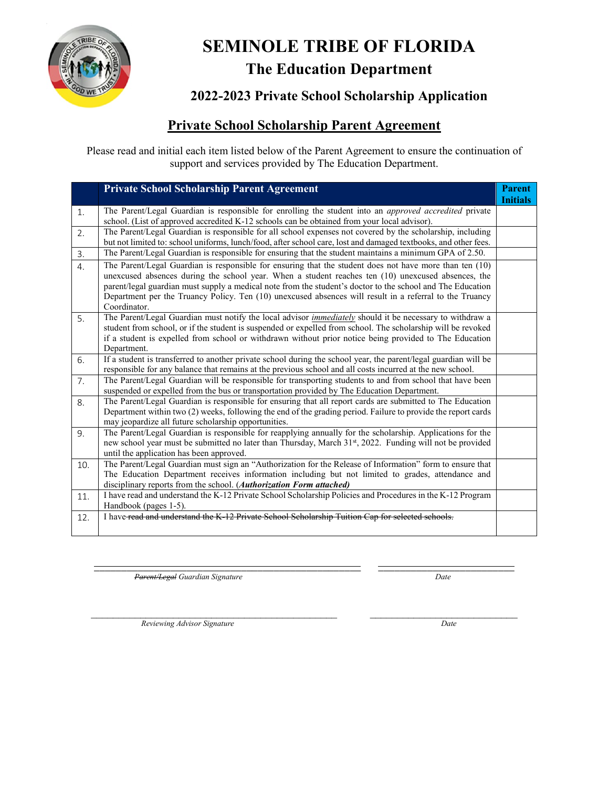

## **SEMINOLE TRIBE OF FLORIDA The Education Department**

**2022-2023 Private School Scholarship Application**

### **Private School Scholarship Parent Agreement**

Please read and initial each item listed below of the Parent Agreement to ensure the continuation of support and services provided by The Education Department.

|     | <b>Private School Scholarship Parent Agreement</b>                                                                                                                                                                                                                                                                                                                                                                                                     | <b>Parent</b><br><b>Initials</b> |
|-----|--------------------------------------------------------------------------------------------------------------------------------------------------------------------------------------------------------------------------------------------------------------------------------------------------------------------------------------------------------------------------------------------------------------------------------------------------------|----------------------------------|
| 1.  | The Parent/Legal Guardian is responsible for enrolling the student into an approved accredited private<br>school. (List of approved accredited K-12 schools can be obtained from your local advisor).                                                                                                                                                                                                                                                  |                                  |
| 2.  | The Parent/Legal Guardian is responsible for all school expenses not covered by the scholarship, including<br>but not limited to: school uniforms, lunch/food, after school care, lost and damaged textbooks, and other fees.                                                                                                                                                                                                                          |                                  |
| 3.  | The Parent/Legal Guardian is responsible for ensuring that the student maintains a minimum GPA of 2.50.                                                                                                                                                                                                                                                                                                                                                |                                  |
| 4.  | The Parent/Legal Guardian is responsible for ensuring that the student does not have more than ten (10)<br>unexcused absences during the school year. When a student reaches ten (10) unexcused absences, the<br>parent/legal guardian must supply a medical note from the student's doctor to the school and The Education<br>Department per the Truancy Policy. Ten (10) unexcused absences will result in a referral to the Truancy<br>Coordinator. |                                  |
| 5.  | The Parent/Legal Guardian must notify the local advisor <i>immediately</i> should it be necessary to withdraw a<br>student from school, or if the student is suspended or expelled from school. The scholarship will be revoked<br>if a student is expelled from school or withdrawn without prior notice being provided to The Education<br>Department.                                                                                               |                                  |
| 6.  | If a student is transferred to another private school during the school year, the parent/legal guardian will be<br>responsible for any balance that remains at the previous school and all costs incurred at the new school.                                                                                                                                                                                                                           |                                  |
| 7.  | The Parent/Legal Guardian will be responsible for transporting students to and from school that have been<br>suspended or expelled from the bus or transportation provided by The Education Department.                                                                                                                                                                                                                                                |                                  |
| 8.  | The Parent/Legal Guardian is responsible for ensuring that all report cards are submitted to The Education<br>Department within two (2) weeks, following the end of the grading period. Failure to provide the report cards<br>may jeopardize all future scholarship opportunities.                                                                                                                                                                    |                                  |
| 9.  | The Parent/Legal Guardian is responsible for reapplying annually for the scholarship. Applications for the<br>new school year must be submitted no later than Thursday, March 31st, 2022. Funding will not be provided<br>until the application has been approved.                                                                                                                                                                                     |                                  |
| 10. | The Parent/Legal Guardian must sign an "Authorization for the Release of Information" form to ensure that<br>The Education Department receives information including but not limited to grades, attendance and<br>disciplinary reports from the school. (Authorization Form attached)                                                                                                                                                                  |                                  |
| 11. | I have read and understand the K-12 Private School Scholarship Policies and Procedures in the K-12 Program<br>Handbook (pages 1-5).                                                                                                                                                                                                                                                                                                                    |                                  |
| 12. | I have-read and understand the K-12 Private School Scholarship Tuition Cap for selected schools.                                                                                                                                                                                                                                                                                                                                                       |                                  |

\_\_\_\_\_\_\_\_\_\_\_\_\_\_\_\_\_\_\_\_\_\_\_\_\_\_\_\_\_\_\_\_\_\_\_\_\_\_\_\_\_\_\_\_\_\_\_\_\_ \_\_\_\_\_\_\_\_\_\_\_\_\_\_\_\_\_\_\_\_\_\_\_\_\_ *Parent/Legal Guardian Signature Date*

 $\mathcal{L}_\text{max}$  , and the contribution of the contribution of the contribution of the contribution of the contribution of the contribution of the contribution of the contribution of the contribution of the contribution of t *Reviewing Advisor Signature* Date